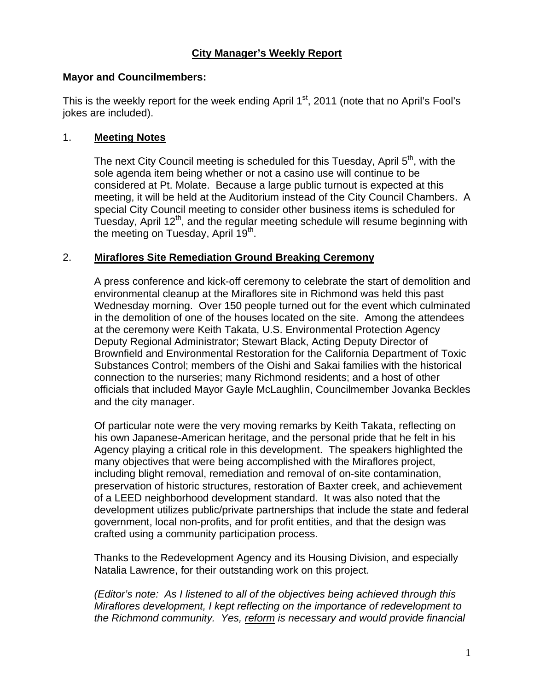## **Mayor and Councilmembers:**

This is the weekly report for the week ending April  $1<sup>st</sup>$ , 2011 (note that no April's Fool's jokes are included).

## 1. **Meeting Notes**

The next City Council meeting is scheduled for this Tuesday, April  $5<sup>th</sup>$ , with the sole agenda item being whether or not a casino use will continue to be considered at Pt. Molate. Because a large public turnout is expected at this meeting, it will be held at the Auditorium instead of the City Council Chambers. A special City Council meeting to consider other business items is scheduled for Tuesday, April 12<sup>th</sup>, and the regular meeting schedule will resume beginning with the meeting on Tuesday, April 19<sup>th</sup>.

## 2. **Miraflores Site Remediation Ground Breaking Ceremony**

A press conference and kick-off ceremony to celebrate the start of demolition and environmental cleanup at the Miraflores site in Richmond was held this past Wednesday morning. Over 150 people turned out for the event which culminated in the demolition of one of the houses located on the site. Among the attendees at the ceremony were Keith Takata, U.S. Environmental Protection Agency Deputy Regional Administrator; Stewart Black, Acting Deputy Director of Brownfield and Environmental Restoration for the California Department of Toxic Substances Control; members of the Oishi and Sakai families with the historical connection to the nurseries; many Richmond residents; and a host of other officials that included Mayor Gayle McLaughlin, Councilmember Jovanka Beckles and the city manager.

Of particular note were the very moving remarks by Keith Takata, reflecting on his own Japanese-American heritage, and the personal pride that he felt in his Agency playing a critical role in this development. The speakers highlighted the many objectives that were being accomplished with the Miraflores project, including blight removal, remediation and removal of on-site contamination, preservation of historic structures, restoration of Baxter creek, and achievement of a LEED neighborhood development standard. It was also noted that the development utilizes public/private partnerships that include the state and federal government, local non-profits, and for profit entities, and that the design was crafted using a community participation process.

Thanks to the Redevelopment Agency and its Housing Division, and especially Natalia Lawrence, for their outstanding work on this project.

*(Editor's note: As I listened to all of the objectives being achieved through this Miraflores development, I kept reflecting on the importance of redevelopment to the Richmond community. Yes, reform is necessary and would provide financial*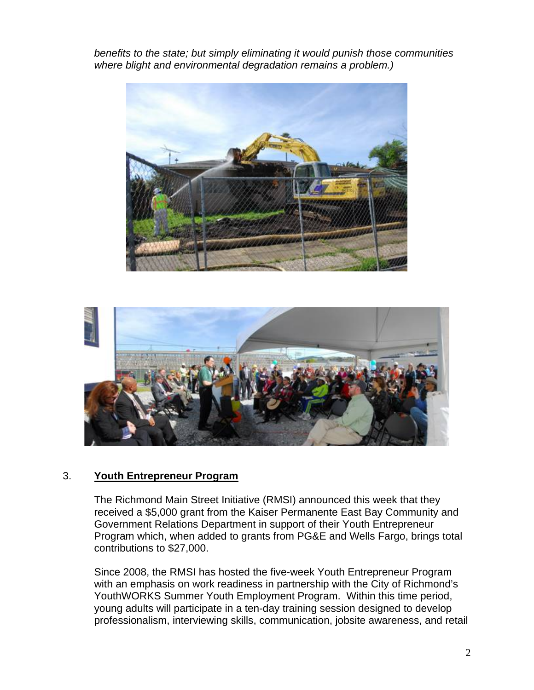*benefits to the state; but simply eliminating it would punish those communities where blight and environmental degradation remains a problem.)* 





#### 3. **Youth Entrepreneur Program**

The Richmond Main Street Initiative (RMSI) announced this week that they received a \$5,000 grant from the Kaiser Permanente East Bay Community and Government Relations Department in support of their Youth Entrepreneur Program which, when added to grants from PG&E and Wells Fargo, brings total contributions to \$27,000.

Since 2008, the RMSI has hosted the five-week Youth Entrepreneur Program with an emphasis on work readiness in partnership with the City of Richmond's YouthWORKS Summer Youth Employment Program. Within this time period, young adults will participate in a ten-day training session designed to develop professionalism, interviewing skills, communication, jobsite awareness, and retail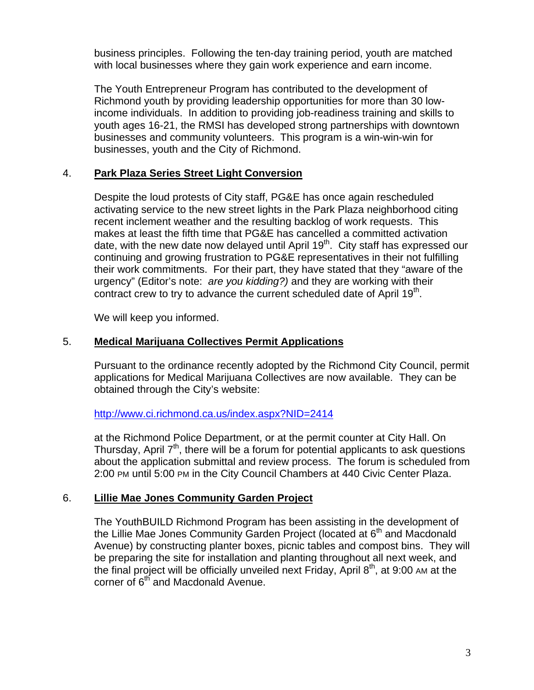business principles. Following the ten-day training period, youth are matched with local businesses where they gain work experience and earn income.

The Youth Entrepreneur Program has contributed to the development of Richmond youth by providing leadership opportunities for more than 30 lowincome individuals. In addition to providing job-readiness training and skills to youth ages 16-21, the RMSI has developed strong partnerships with downtown businesses and community volunteers. This program is a win-win-win for businesses, youth and the City of Richmond.

#### 4. **Park Plaza Series Street Light Conversion**

Despite the loud protests of City staff, PG&E has once again rescheduled activating service to the new street lights in the Park Plaza neighborhood citing recent inclement weather and the resulting backlog of work requests. This makes at least the fifth time that PG&E has cancelled a committed activation date, with the new date now delayed until April  $19<sup>th</sup>$ . City staff has expressed our continuing and growing frustration to PG&E representatives in their not fulfilling their work commitments. For their part, they have stated that they "aware of the urgency" (Editor's note: *are you kidding?)* and they are working with their contract crew to try to advance the current scheduled date of April  $19<sup>th</sup>$ .

We will keep you informed.

#### 5. **Medical Marijuana Collectives Permit Applications**

Pursuant to the ordinance recently adopted by the Richmond City Council, permit applications for Medical Marijuana Collectives are now available. They can be obtained through the City's website:

#### http://www.ci.richmond.ca.us/index.aspx?NID=2414

at the Richmond Police Department, or at the permit counter at City Hall. On Thursday, April  $7<sup>th</sup>$ , there will be a forum for potential applicants to ask questions about the application submittal and review process. The forum is scheduled from 2:00 PM until 5:00 PM in the City Council Chambers at 440 Civic Center Plaza.

#### 6. **Lillie Mae Jones Community Garden Project**

The YouthBUILD Richmond Program has been assisting in the development of the Lillie Mae Jones Community Garden Project (located at 6<sup>th</sup> and Macdonald Avenue) by constructing planter boxes, picnic tables and compost bins. They will be preparing the site for installation and planting throughout all next week, and the final project will be officially unveiled next Friday, April  $8<sup>th</sup>$ , at 9:00 AM at the corner of  $6<sup>th</sup>$  and Macdonald Avenue.